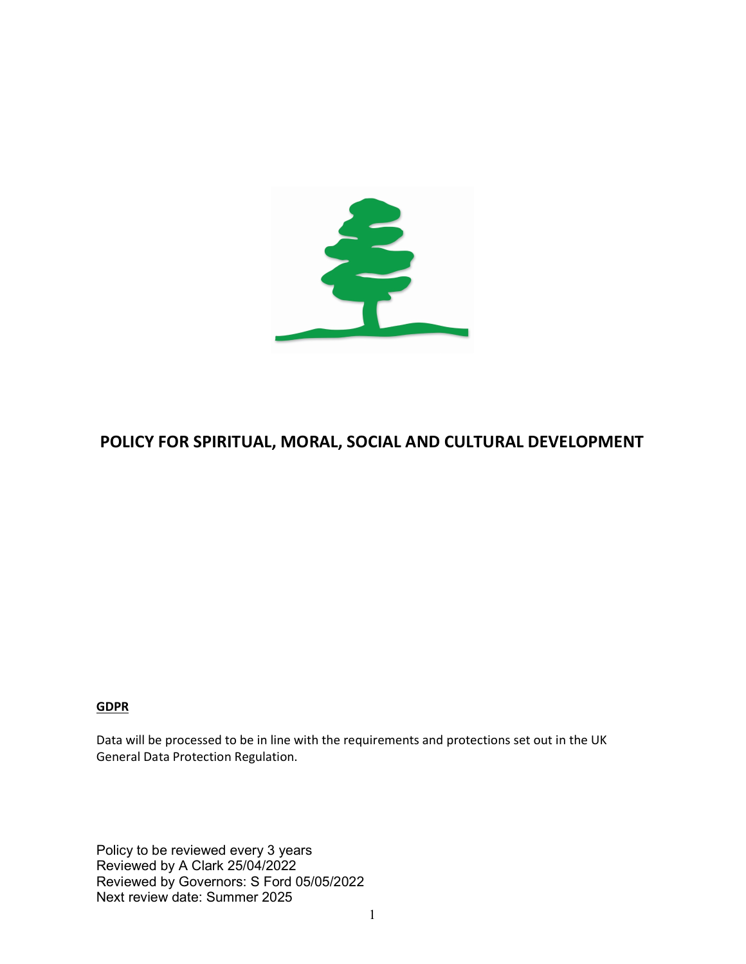

# POLICY FOR SPIRITUAL, MORAL, SOCIAL AND CULTURAL DEVELOPMENT

# GDPR

Data will be processed to be in line with the requirements and protections set out in the UK General Data Protection Regulation.

Policy to be reviewed every 3 years Reviewed by A Clark 25/04/2022 Reviewed by Governors: S Ford 05/05/2022 Next review date: Summer 2025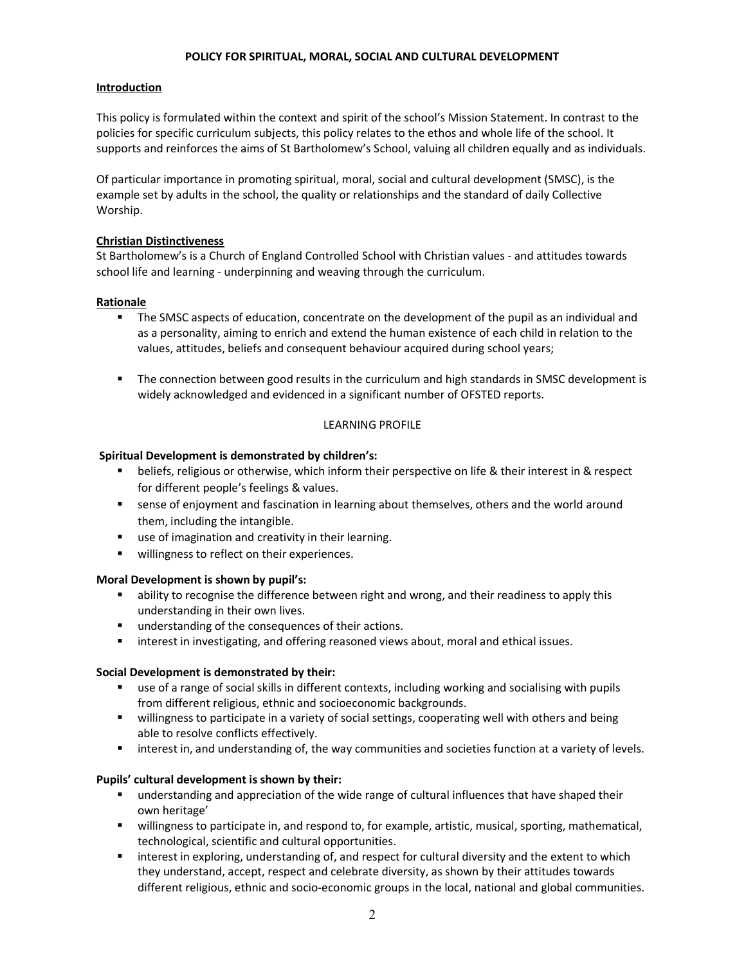#### POLICY FOR SPIRITUAL, MORAL, SOCIAL AND CULTURAL DEVELOPMENT

### Introduction

This policy is formulated within the context and spirit of the school's Mission Statement. In contrast to the policies for specific curriculum subjects, this policy relates to the ethos and whole life of the school. It supports and reinforces the aims of St Bartholomew's School, valuing all children equally and as individuals.

Of particular importance in promoting spiritual, moral, social and cultural development (SMSC), is the example set by adults in the school, the quality or relationships and the standard of daily Collective Worship.

### Christian Distinctiveness

St Bartholomew's is a Church of England Controlled School with Christian values - and attitudes towards school life and learning - underpinning and weaving through the curriculum.

#### Rationale

- The SMSC aspects of education, concentrate on the development of the pupil as an individual and as a personality, aiming to enrich and extend the human existence of each child in relation to the values, attitudes, beliefs and consequent behaviour acquired during school years;
- **The connection between good results in the curriculum and high standards in SMSC development is** widely acknowledged and evidenced in a significant number of OFSTED reports.

### LEARNING PROFILE

### Spiritual Development is demonstrated by children's:

- beliefs, religious or otherwise, which inform their perspective on life & their interest in & respect for different people's feelings & values.
- sense of enjoyment and fascination in learning about themselves, others and the world around them, including the intangible.
- use of imagination and creativity in their learning.
- **Willingness to reflect on their experiences.**

#### Moral Development is shown by pupil's:

- **•** ability to recognise the difference between right and wrong, and their readiness to apply this understanding in their own lives.
- **understanding of the consequences of their actions.**
- **I** interest in investigating, and offering reasoned views about, moral and ethical issues.

#### Social Development is demonstrated by their:

- use of a range of social skills in different contexts, including working and socialising with pupils from different religious, ethnic and socioeconomic backgrounds.
- **Willingness to participate in a variety of social settings, cooperating well with others and being** able to resolve conflicts effectively.
- **EXED** interest in, and understanding of, the way communities and societies function at a variety of levels.

#### Pupils' cultural development is shown by their:

- understanding and appreciation of the wide range of cultural influences that have shaped their own heritage'
- willingness to participate in, and respond to, for example, artistic, musical, sporting, mathematical, technological, scientific and cultural opportunities.
- interest in exploring, understanding of, and respect for cultural diversity and the extent to which they understand, accept, respect and celebrate diversity, as shown by their attitudes towards different religious, ethnic and socio-economic groups in the local, national and global communities.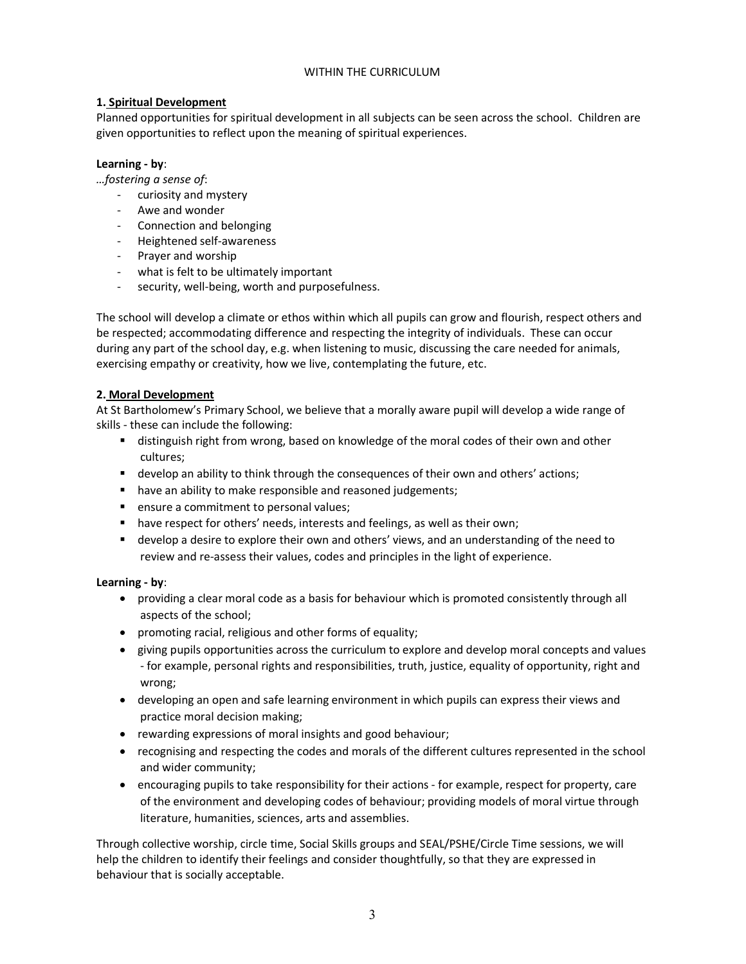#### WITHIN THE CURRICULUM

# 1. Spiritual Development

Planned opportunities for spiritual development in all subjects can be seen across the school. Children are given opportunities to reflect upon the meaning of spiritual experiences.

# Learning - by:

…fostering a sense of:

- curiosity and mystery
- Awe and wonder
- Connection and belonging
- Heightened self-awareness
- Prayer and worship
- what is felt to be ultimately important
- security, well-being, worth and purposefulness.

The school will develop a climate or ethos within which all pupils can grow and flourish, respect others and be respected; accommodating difference and respecting the integrity of individuals. These can occur during any part of the school day, e.g. when listening to music, discussing the care needed for animals, exercising empathy or creativity, how we live, contemplating the future, etc.

# 2. Moral Development

At St Bartholomew's Primary School, we believe that a morally aware pupil will develop a wide range of skills - these can include the following:

- distinguish right from wrong, based on knowledge of the moral codes of their own and other cultures;
- develop an ability to think through the consequences of their own and others' actions;
- **have an ability to make responsible and reasoned judgements;**
- **E** ensure a commitment to personal values;
- have respect for others' needs, interests and feelings, as well as their own;
- develop a desire to explore their own and others' views, and an understanding of the need to review and re-assess their values, codes and principles in the light of experience.

# Learning - by:

- providing a clear moral code as a basis for behaviour which is promoted consistently through all aspects of the school;
- promoting racial, religious and other forms of equality;
- giving pupils opportunities across the curriculum to explore and develop moral concepts and values - for example, personal rights and responsibilities, truth, justice, equality of opportunity, right and wrong;
- developing an open and safe learning environment in which pupils can express their views and practice moral decision making;
- rewarding expressions of moral insights and good behaviour;
- recognising and respecting the codes and morals of the different cultures represented in the school and wider community;
- encouraging pupils to take responsibility for their actions for example, respect for property, care of the environment and developing codes of behaviour; providing models of moral virtue through literature, humanities, sciences, arts and assemblies.

Through collective worship, circle time, Social Skills groups and SEAL/PSHE/Circle Time sessions, we will help the children to identify their feelings and consider thoughtfully, so that they are expressed in behaviour that is socially acceptable.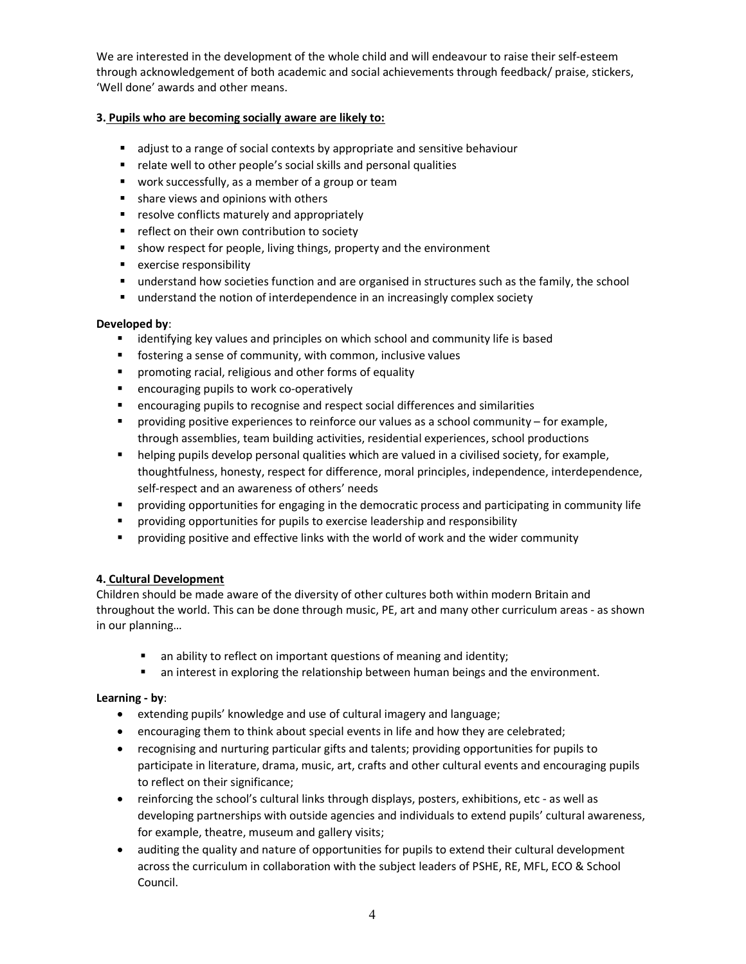We are interested in the development of the whole child and will endeavour to raise their self-esteem through acknowledgement of both academic and social achievements through feedback/ praise, stickers, 'Well done' awards and other means.

### 3. Pupils who are becoming socially aware are likely to:

- adjust to a range of social contexts by appropriate and sensitive behaviour
- relate well to other people's social skills and personal qualities
- work successfully, as a member of a group or team
- **share views and opinions with others**
- **EXP** resolve conflicts maturely and appropriately
- **F** reflect on their own contribution to society
- show respect for people, living things, property and the environment
- **EXECCISE RESPONSIBILITY**
- **u** understand how societies function and are organised in structures such as the family, the school
- **understand the notion of interdependence in an increasingly complex society**

### Developed by:

- identifying key values and principles on which school and community life is based
- fostering a sense of community, with common, inclusive values
- **P** promoting racial, religious and other forms of equality
- **E** encouraging pupils to work co-operatively
- encouraging pupils to recognise and respect social differences and similarities
- providing positive experiences to reinforce our values as a school community for example, through assemblies, team building activities, residential experiences, school productions
- **•** helping pupils develop personal qualities which are valued in a civilised society, for example, thoughtfulness, honesty, respect for difference, moral principles, independence, interdependence, self-respect and an awareness of others' needs
- providing opportunities for engaging in the democratic process and participating in community life
- **P** providing opportunities for pupils to exercise leadership and responsibility
- **Peroviding positive and effective links with the world of work and the wider community**

# 4. Cultural Development

Children should be made aware of the diversity of other cultures both within modern Britain and throughout the world. This can be done through music, PE, art and many other curriculum areas - as shown in our planning…

- **a** an ability to reflect on important questions of meaning and identity;
- an interest in exploring the relationship between human beings and the environment.

# Learning - by:

- extending pupils' knowledge and use of cultural imagery and language;
- encouraging them to think about special events in life and how they are celebrated;
- recognising and nurturing particular gifts and talents; providing opportunities for pupils to participate in literature, drama, music, art, crafts and other cultural events and encouraging pupils to reflect on their significance;
- reinforcing the school's cultural links through displays, posters, exhibitions, etc as well as developing partnerships with outside agencies and individuals to extend pupils' cultural awareness, for example, theatre, museum and gallery visits;
- auditing the quality and nature of opportunities for pupils to extend their cultural development across the curriculum in collaboration with the subject leaders of PSHE, RE, MFL, ECO & School Council.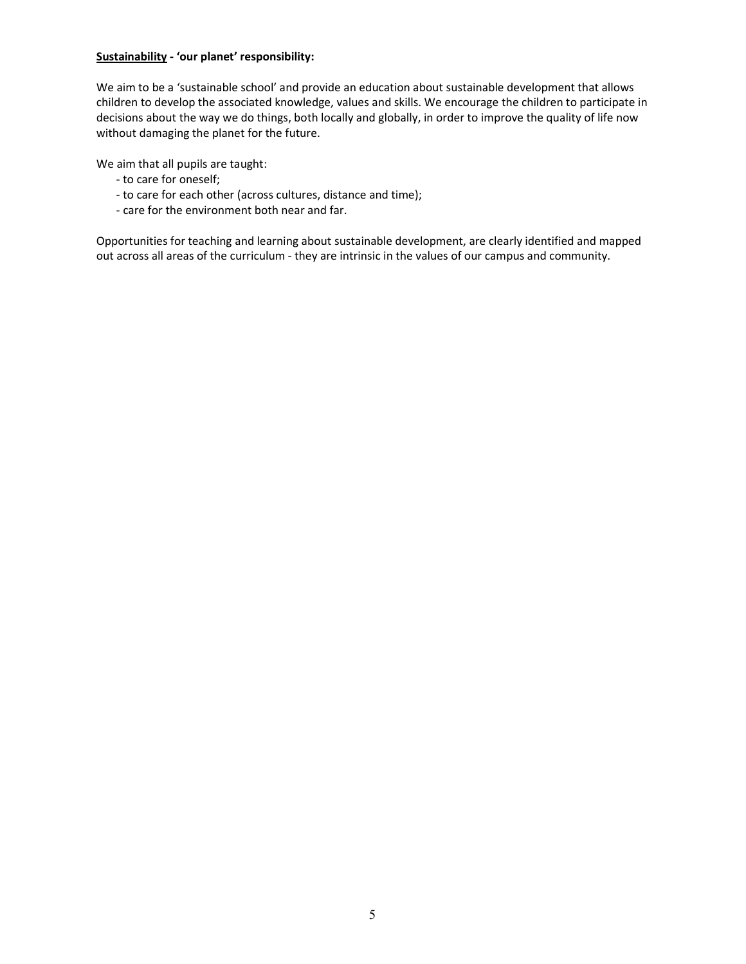#### Sustainability - 'our planet' responsibility:

We aim to be a 'sustainable school' and provide an education about sustainable development that allows children to develop the associated knowledge, values and skills. We encourage the children to participate in decisions about the way we do things, both locally and globally, in order to improve the quality of life now without damaging the planet for the future.

We aim that all pupils are taught:

- to care for oneself;
- to care for each other (across cultures, distance and time);
- care for the environment both near and far.

Opportunities for teaching and learning about sustainable development, are clearly identified and mapped out across all areas of the curriculum - they are intrinsic in the values of our campus and community.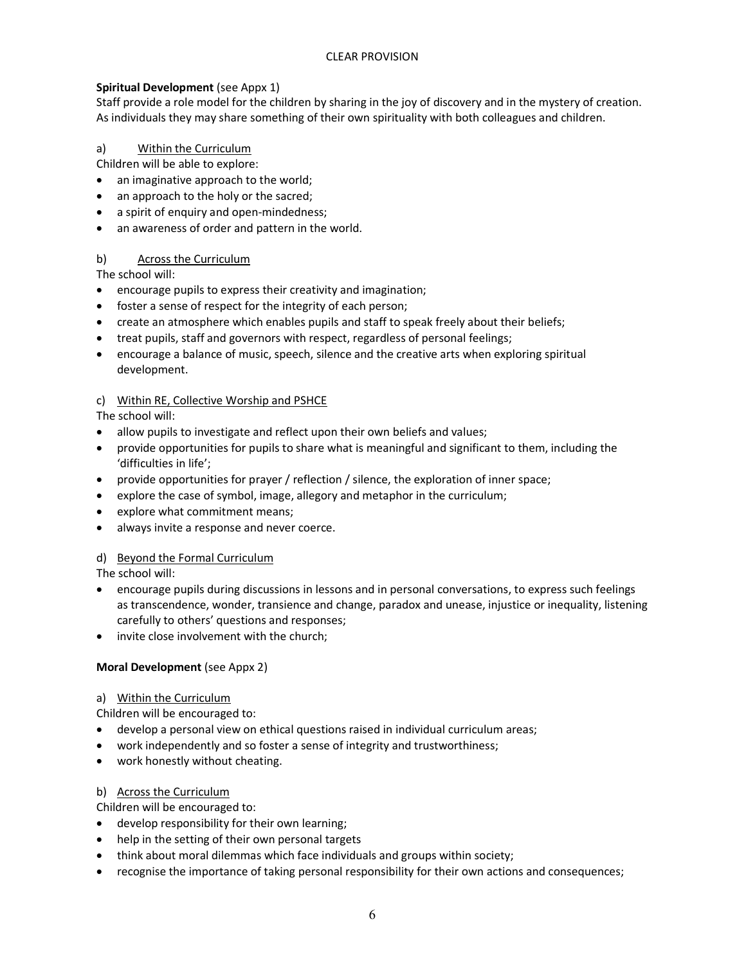### CLEAR PROVISION

## Spiritual Development (see Appx 1)

Staff provide a role model for the children by sharing in the joy of discovery and in the mystery of creation. As individuals they may share something of their own spirituality with both colleagues and children.

# a) Within the Curriculum

Children will be able to explore:

- an imaginative approach to the world;
- an approach to the holy or the sacred;
- a spirit of enquiry and open-mindedness;
- an awareness of order and pattern in the world.

# b) Across the Curriculum

The school will:

- encourage pupils to express their creativity and imagination;
- foster a sense of respect for the integrity of each person;
- create an atmosphere which enables pupils and staff to speak freely about their beliefs;
- treat pupils, staff and governors with respect, regardless of personal feelings;
- encourage a balance of music, speech, silence and the creative arts when exploring spiritual development.

# c) Within RE, Collective Worship and PSHCE

The school will:

- allow pupils to investigate and reflect upon their own beliefs and values;
- provide opportunities for pupils to share what is meaningful and significant to them, including the 'difficulties in life';
- provide opportunities for prayer / reflection / silence, the exploration of inner space;
- explore the case of symbol, image, allegory and metaphor in the curriculum;
- explore what commitment means;
- always invite a response and never coerce.

# d) Beyond the Formal Curriculum

The school will:

- encourage pupils during discussions in lessons and in personal conversations, to express such feelings as transcendence, wonder, transience and change, paradox and unease, injustice or inequality, listening carefully to others' questions and responses;
- invite close involvement with the church;

# Moral Development (see Appx 2)

# a) Within the Curriculum

Children will be encouraged to:

- develop a personal view on ethical questions raised in individual curriculum areas;
- work independently and so foster a sense of integrity and trustworthiness;
- work honestly without cheating.

# b) Across the Curriculum

Children will be encouraged to:

- develop responsibility for their own learning;
- help in the setting of their own personal targets
- think about moral dilemmas which face individuals and groups within society;
- recognise the importance of taking personal responsibility for their own actions and consequences;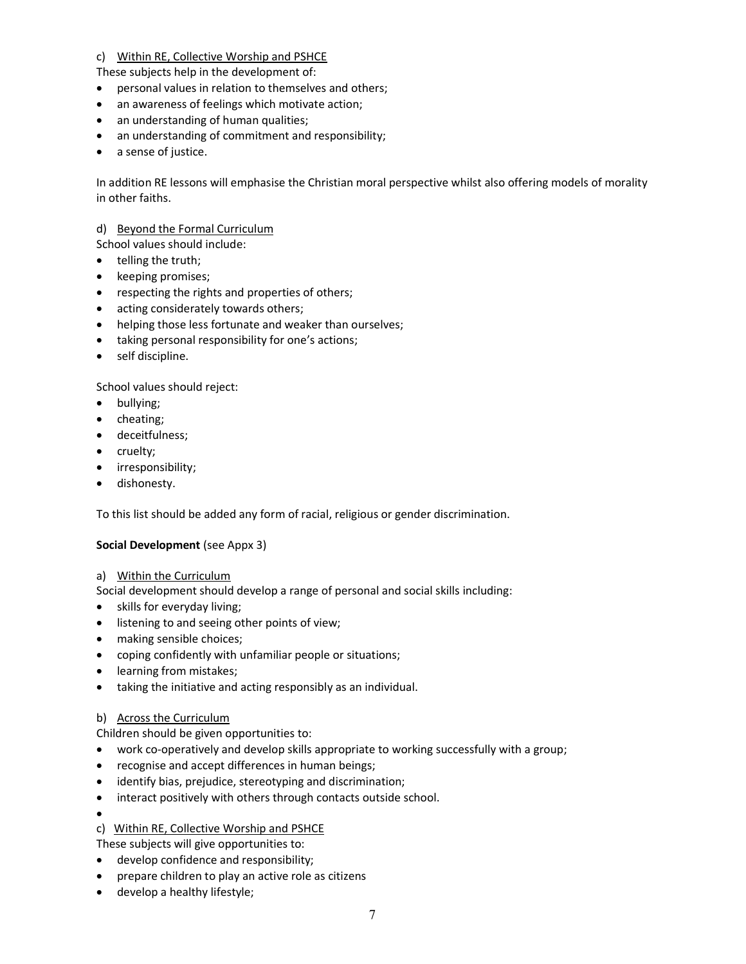#### c) Within RE, Collective Worship and PSHCE

These subjects help in the development of:

- personal values in relation to themselves and others;
- an awareness of feelings which motivate action;
- an understanding of human qualities;
- an understanding of commitment and responsibility;
- a sense of justice.

In addition RE lessons will emphasise the Christian moral perspective whilst also offering models of morality in other faiths.

#### d) Beyond the Formal Curriculum

School values should include:

- telling the truth;
- keeping promises;
- respecting the rights and properties of others;
- acting considerately towards others;
- helping those less fortunate and weaker than ourselves;
- taking personal responsibility for one's actions;
- self discipline.

School values should reject:

- bullying;
- cheating;
- deceitfulness;
- cruelty;
- irresponsibility;
- dishonesty.

To this list should be added any form of racial, religious or gender discrimination.

#### Social Development (see Appx 3)

#### a) Within the Curriculum

Social development should develop a range of personal and social skills including:

- skills for everyday living;
- **.** listening to and seeing other points of view;
- making sensible choices;
- coping confidently with unfamiliar people or situations;
- **•** learning from mistakes;
- taking the initiative and acting responsibly as an individual.

#### b) Across the Curriculum

Children should be given opportunities to:

- work co-operatively and develop skills appropriate to working successfully with a group;
- recognise and accept differences in human beings;
- identify bias, prejudice, stereotyping and discrimination;
- interact positively with others through contacts outside school.
- $\bullet$
- c) Within RE, Collective Worship and PSHCE

These subjects will give opportunities to:

- develop confidence and responsibility;
- prepare children to play an active role as citizens
- develop a healthy lifestyle;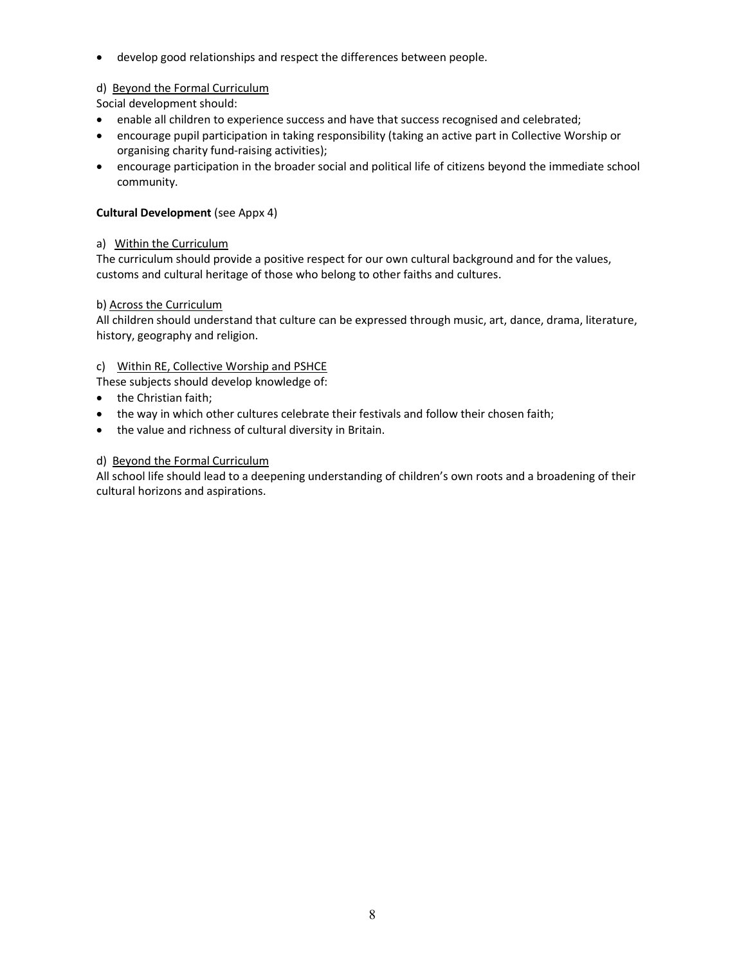develop good relationships and respect the differences between people.

### d) Beyond the Formal Curriculum

Social development should:

- enable all children to experience success and have that success recognised and celebrated;
- encourage pupil participation in taking responsibility (taking an active part in Collective Worship or organising charity fund-raising activities);
- encourage participation in the broader social and political life of citizens beyond the immediate school community.

#### Cultural Development (see Appx 4)

### a) Within the Curriculum

The curriculum should provide a positive respect for our own cultural background and for the values, customs and cultural heritage of those who belong to other faiths and cultures.

### b) Across the Curriculum

All children should understand that culture can be expressed through music, art, dance, drama, literature, history, geography and religion.

### c) Within RE, Collective Worship and PSHCE

These subjects should develop knowledge of:

- the Christian faith;
- the way in which other cultures celebrate their festivals and follow their chosen faith;
- the value and richness of cultural diversity in Britain.

### d) Beyond the Formal Curriculum

All school life should lead to a deepening understanding of children's own roots and a broadening of their cultural horizons and aspirations.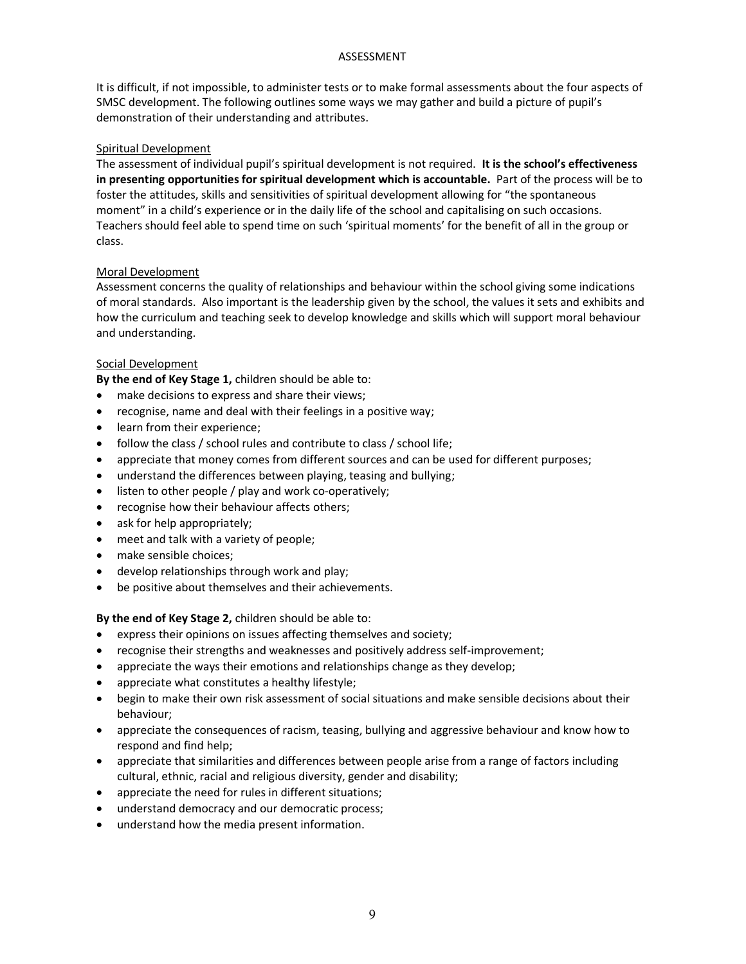#### ASSESSMENT

It is difficult, if not impossible, to administer tests or to make formal assessments about the four aspects of SMSC development. The following outlines some ways we may gather and build a picture of pupil's demonstration of their understanding and attributes.

#### Spiritual Development

The assessment of individual pupil's spiritual development is not required. It is the school's effectiveness in presenting opportunities for spiritual development which is accountable. Part of the process will be to foster the attitudes, skills and sensitivities of spiritual development allowing for "the spontaneous moment" in a child's experience or in the daily life of the school and capitalising on such occasions. Teachers should feel able to spend time on such 'spiritual moments' for the benefit of all in the group or class.

### Moral Development

Assessment concerns the quality of relationships and behaviour within the school giving some indications of moral standards. Also important is the leadership given by the school, the values it sets and exhibits and how the curriculum and teaching seek to develop knowledge and skills which will support moral behaviour and understanding.

### Social Development

By the end of Key Stage 1, children should be able to:

- make decisions to express and share their views;
- recognise, name and deal with their feelings in a positive way;
- learn from their experience;
- follow the class / school rules and contribute to class / school life;
- appreciate that money comes from different sources and can be used for different purposes;
- understand the differences between playing, teasing and bullying;
- listen to other people / play and work co-operatively;
- recognise how their behaviour affects others;
- ask for help appropriately;
- meet and talk with a variety of people;
- make sensible choices;
- develop relationships through work and play;
- be positive about themselves and their achievements.

#### By the end of Key Stage 2, children should be able to:

- express their opinions on issues affecting themselves and society;
- recognise their strengths and weaknesses and positively address self-improvement;
- appreciate the ways their emotions and relationships change as they develop;
- appreciate what constitutes a healthy lifestyle;
- begin to make their own risk assessment of social situations and make sensible decisions about their behaviour;
- appreciate the consequences of racism, teasing, bullying and aggressive behaviour and know how to respond and find help;
- appreciate that similarities and differences between people arise from a range of factors including cultural, ethnic, racial and religious diversity, gender and disability;
- appreciate the need for rules in different situations;
- understand democracy and our democratic process;
- understand how the media present information.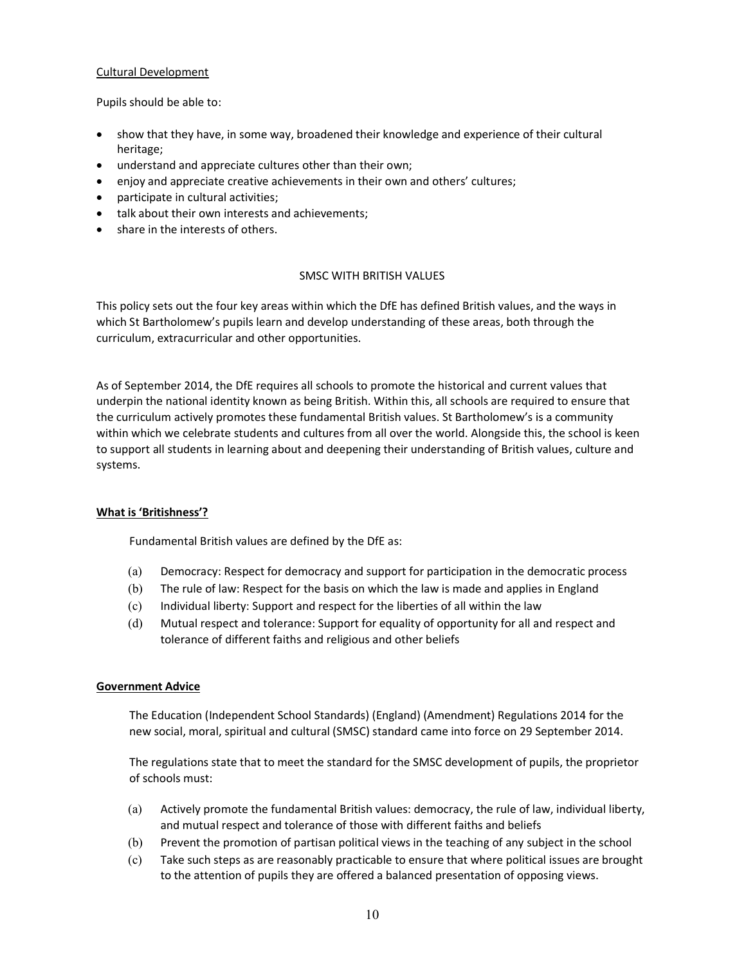#### Cultural Development

Pupils should be able to:

- show that they have, in some way, broadened their knowledge and experience of their cultural heritage;
- understand and appreciate cultures other than their own;
- enjoy and appreciate creative achievements in their own and others' cultures;
- participate in cultural activities;
- talk about their own interests and achievements;
- share in the interests of others.

### SMSC WITH BRITISH VALUES

This policy sets out the four key areas within which the DfE has defined British values, and the ways in which St Bartholomew's pupils learn and develop understanding of these areas, both through the curriculum, extracurricular and other opportunities.

As of September 2014, the DfE requires all schools to promote the historical and current values that underpin the national identity known as being British. Within this, all schools are required to ensure that the curriculum actively promotes these fundamental British values. St Bartholomew's is a community within which we celebrate students and cultures from all over the world. Alongside this, the school is keen to support all students in learning about and deepening their understanding of British values, culture and systems.

#### What is 'Britishness'?

Fundamental British values are defined by the DfE as:

- (a) Democracy: Respect for democracy and support for participation in the democratic process
- (b) The rule of law: Respect for the basis on which the law is made and applies in England
- (c) Individual liberty: Support and respect for the liberties of all within the law
- (d) Mutual respect and tolerance: Support for equality of opportunity for all and respect and tolerance of different faiths and religious and other beliefs

#### Government Advice

The Education (Independent School Standards) (England) (Amendment) Regulations 2014 for the new social, moral, spiritual and cultural (SMSC) standard came into force on 29 September 2014.

The regulations state that to meet the standard for the SMSC development of pupils, the proprietor of schools must:

- (a) Actively promote the fundamental British values: democracy, the rule of law, individual liberty, and mutual respect and tolerance of those with different faiths and beliefs
- (b) Prevent the promotion of partisan political views in the teaching of any subject in the school
- (c) Take such steps as are reasonably practicable to ensure that where political issues are brought to the attention of pupils they are offered a balanced presentation of opposing views.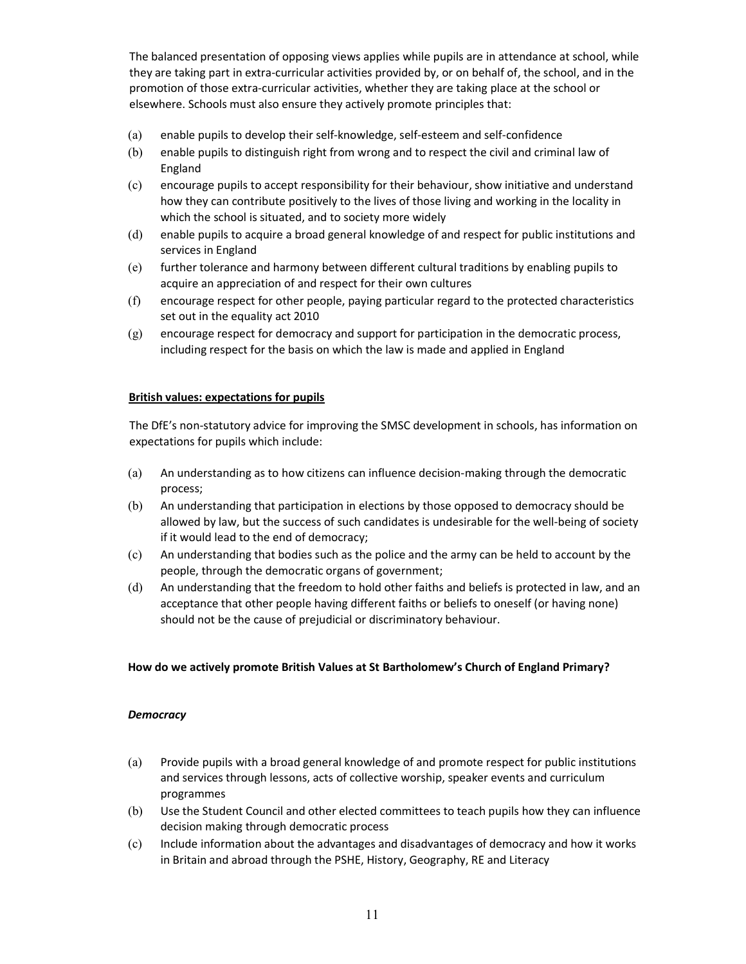The balanced presentation of opposing views applies while pupils are in attendance at school, while they are taking part in extra-curricular activities provided by, or on behalf of, the school, and in the promotion of those extra-curricular activities, whether they are taking place at the school or elsewhere. Schools must also ensure they actively promote principles that:

- (a) enable pupils to develop their self-knowledge, self-esteem and self-confidence
- (b) enable pupils to distinguish right from wrong and to respect the civil and criminal law of England
- (c) encourage pupils to accept responsibility for their behaviour, show initiative and understand how they can contribute positively to the lives of those living and working in the locality in which the school is situated, and to society more widely
- (d) enable pupils to acquire a broad general knowledge of and respect for public institutions and services in England
- (e) further tolerance and harmony between different cultural traditions by enabling pupils to acquire an appreciation of and respect for their own cultures
- (f) encourage respect for other people, paying particular regard to the protected characteristics set out in the equality act 2010
- (g) encourage respect for democracy and support for participation in the democratic process, including respect for the basis on which the law is made and applied in England

#### British values: expectations for pupils

The DfE's non-statutory advice for improving the SMSC development in schools, has information on expectations for pupils which include:

- (a) An understanding as to how citizens can influence decision-making through the democratic process;
- (b) An understanding that participation in elections by those opposed to democracy should be allowed by law, but the success of such candidates is undesirable for the well-being of society if it would lead to the end of democracy;
- (c) An understanding that bodies such as the police and the army can be held to account by the people, through the democratic organs of government;
- (d) An understanding that the freedom to hold other faiths and beliefs is protected in law, and an acceptance that other people having different faiths or beliefs to oneself (or having none) should not be the cause of prejudicial or discriminatory behaviour.

#### How do we actively promote British Values at St Bartholomew's Church of England Primary?

#### **Democracy**

- (a) Provide pupils with a broad general knowledge of and promote respect for public institutions and services through lessons, acts of collective worship, speaker events and curriculum programmes
- (b) Use the Student Council and other elected committees to teach pupils how they can influence decision making through democratic process
- (c) Include information about the advantages and disadvantages of democracy and how it works in Britain and abroad through the PSHE, History, Geography, RE and Literacy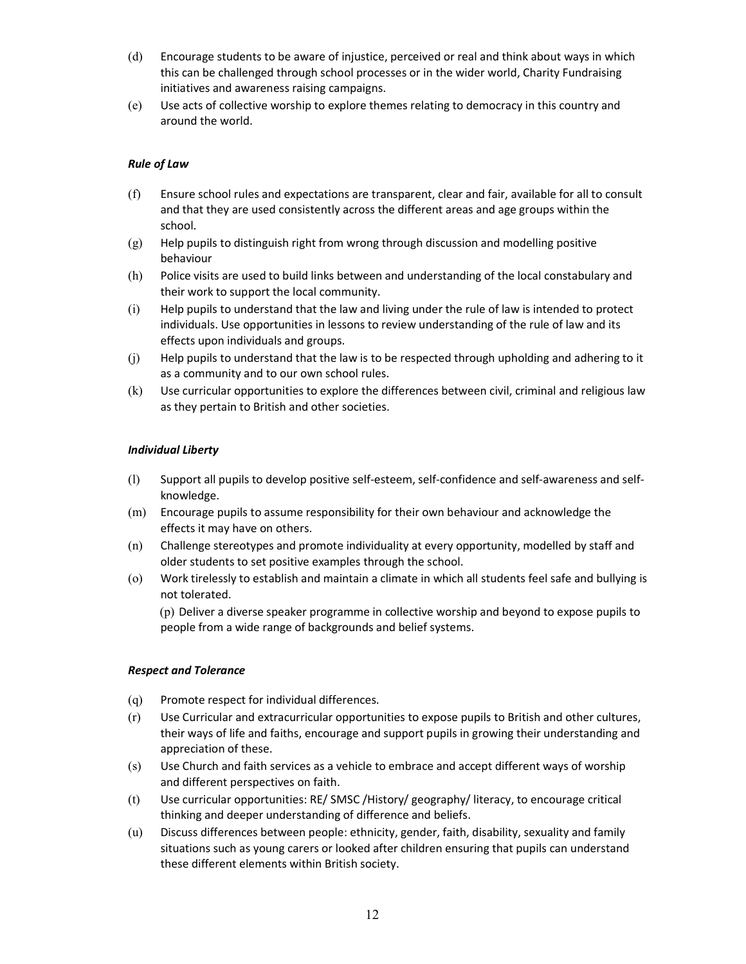- (d) Encourage students to be aware of injustice, perceived or real and think about ways in which this can be challenged through school processes or in the wider world, Charity Fundraising initiatives and awareness raising campaigns.
- (e) Use acts of collective worship to explore themes relating to democracy in this country and around the world.

### Rule of Law

- (f) Ensure school rules and expectations are transparent, clear and fair, available for all to consult and that they are used consistently across the different areas and age groups within the school.
- (g) Help pupils to distinguish right from wrong through discussion and modelling positive behaviour
- (h) Police visits are used to build links between and understanding of the local constabulary and their work to support the local community.
- (i) Help pupils to understand that the law and living under the rule of law is intended to protect individuals. Use opportunities in lessons to review understanding of the rule of law and its effects upon individuals and groups.
- (j) Help pupils to understand that the law is to be respected through upholding and adhering to it as a community and to our own school rules.
- (k) Use curricular opportunities to explore the differences between civil, criminal and religious law as they pertain to British and other societies.

#### Individual Liberty

- (l) Support all pupils to develop positive self-esteem, self-confidence and self-awareness and selfknowledge.
- (m) Encourage pupils to assume responsibility for their own behaviour and acknowledge the effects it may have on others.
- (n) Challenge stereotypes and promote individuality at every opportunity, modelled by staff and older students to set positive examples through the school.
- (o) Work tirelessly to establish and maintain a climate in which all students feel safe and bullying is not tolerated.

(p) Deliver a diverse speaker programme in collective worship and beyond to expose pupils to people from a wide range of backgrounds and belief systems.

#### Respect and Tolerance

- (q) Promote respect for individual differences.
- (r) Use Curricular and extracurricular opportunities to expose pupils to British and other cultures, their ways of life and faiths, encourage and support pupils in growing their understanding and appreciation of these.
- (s) Use Church and faith services as a vehicle to embrace and accept different ways of worship and different perspectives on faith.
- (t) Use curricular opportunities: RE/ SMSC /History/ geography/ literacy, to encourage critical thinking and deeper understanding of difference and beliefs.
- (u) Discuss differences between people: ethnicity, gender, faith, disability, sexuality and family situations such as young carers or looked after children ensuring that pupils can understand these different elements within British society.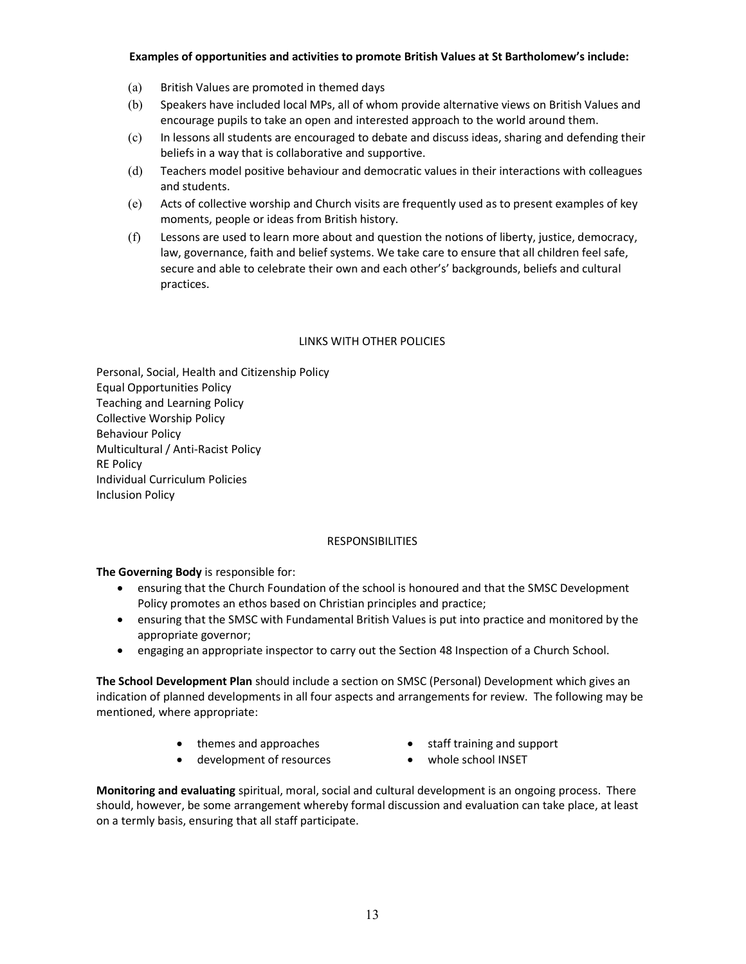### Examples of opportunities and activities to promote British Values at St Bartholomew's include:

- (a) British Values are promoted in themed days
- (b) Speakers have included local MPs, all of whom provide alternative views on British Values and encourage pupils to take an open and interested approach to the world around them.
- (c) In lessons all students are encouraged to debate and discuss ideas, sharing and defending their beliefs in a way that is collaborative and supportive.
- (d) Teachers model positive behaviour and democratic values in their interactions with colleagues and students.
- (e) Acts of collective worship and Church visits are frequently used as to present examples of key moments, people or ideas from British history.
- (f) Lessons are used to learn more about and question the notions of liberty, justice, democracy, law, governance, faith and belief systems. We take care to ensure that all children feel safe, secure and able to celebrate their own and each other's' backgrounds, beliefs and cultural practices.

### LINKS WITH OTHER POLICIES

Personal, Social, Health and Citizenship Policy Equal Opportunities Policy Teaching and Learning Policy Collective Worship Policy Behaviour Policy Multicultural / Anti-Racist Policy RE Policy Individual Curriculum Policies Inclusion Policy

# RESPONSIBILITIES

The Governing Body is responsible for:

- ensuring that the Church Foundation of the school is honoured and that the SMSC Development Policy promotes an ethos based on Christian principles and practice;
- ensuring that the SMSC with Fundamental British Values is put into practice and monitored by the appropriate governor;
- engaging an appropriate inspector to carry out the Section 48 Inspection of a Church School.

The School Development Plan should include a section on SMSC (Personal) Development which gives an indication of planned developments in all four aspects and arrangements for review. The following may be mentioned, where appropriate:

- themes and approaches staff training and support
	-
- development of resources whole school INSET
- 

Monitoring and evaluating spiritual, moral, social and cultural development is an ongoing process. There should, however, be some arrangement whereby formal discussion and evaluation can take place, at least on a termly basis, ensuring that all staff participate.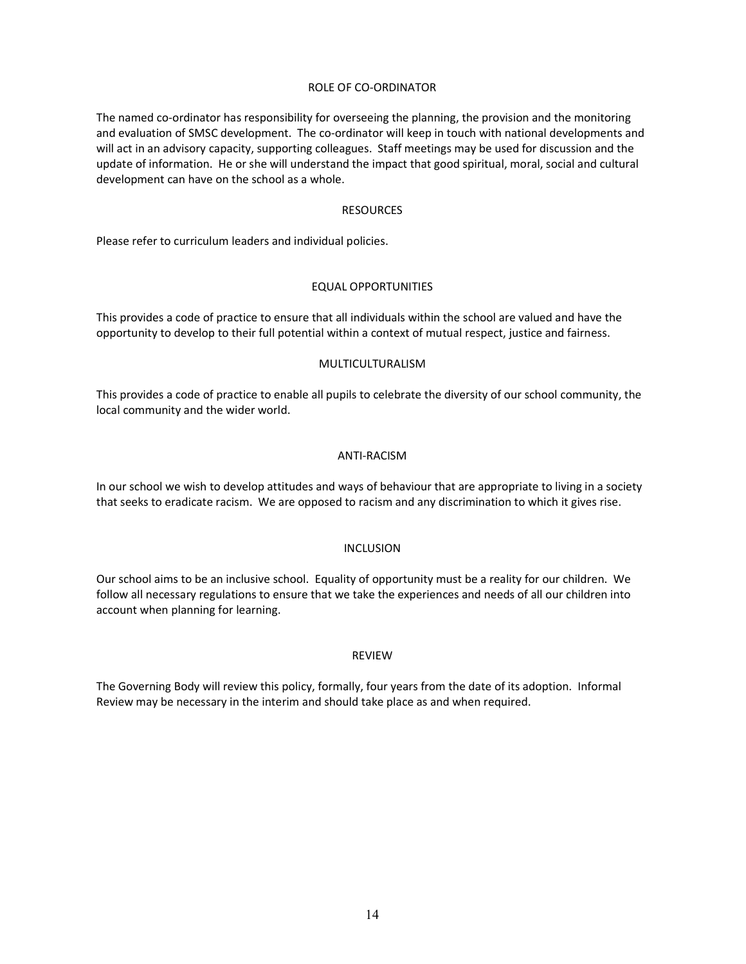#### ROLE OF CO-ORDINATOR

The named co-ordinator has responsibility for overseeing the planning, the provision and the monitoring and evaluation of SMSC development. The co-ordinator will keep in touch with national developments and will act in an advisory capacity, supporting colleagues. Staff meetings may be used for discussion and the update of information. He or she will understand the impact that good spiritual, moral, social and cultural development can have on the school as a whole.

#### **RESOURCES**

Please refer to curriculum leaders and individual policies.

#### EQUAL OPPORTUNITIES

This provides a code of practice to ensure that all individuals within the school are valued and have the opportunity to develop to their full potential within a context of mutual respect, justice and fairness.

#### MULTICULTURALISM

This provides a code of practice to enable all pupils to celebrate the diversity of our school community, the local community and the wider world.

#### ANTI-RACISM

In our school we wish to develop attitudes and ways of behaviour that are appropriate to living in a society that seeks to eradicate racism. We are opposed to racism and any discrimination to which it gives rise.

#### INCLUSION

Our school aims to be an inclusive school. Equality of opportunity must be a reality for our children. We follow all necessary regulations to ensure that we take the experiences and needs of all our children into account when planning for learning.

#### REVIEW

The Governing Body will review this policy, formally, four years from the date of its adoption. Informal Review may be necessary in the interim and should take place as and when required.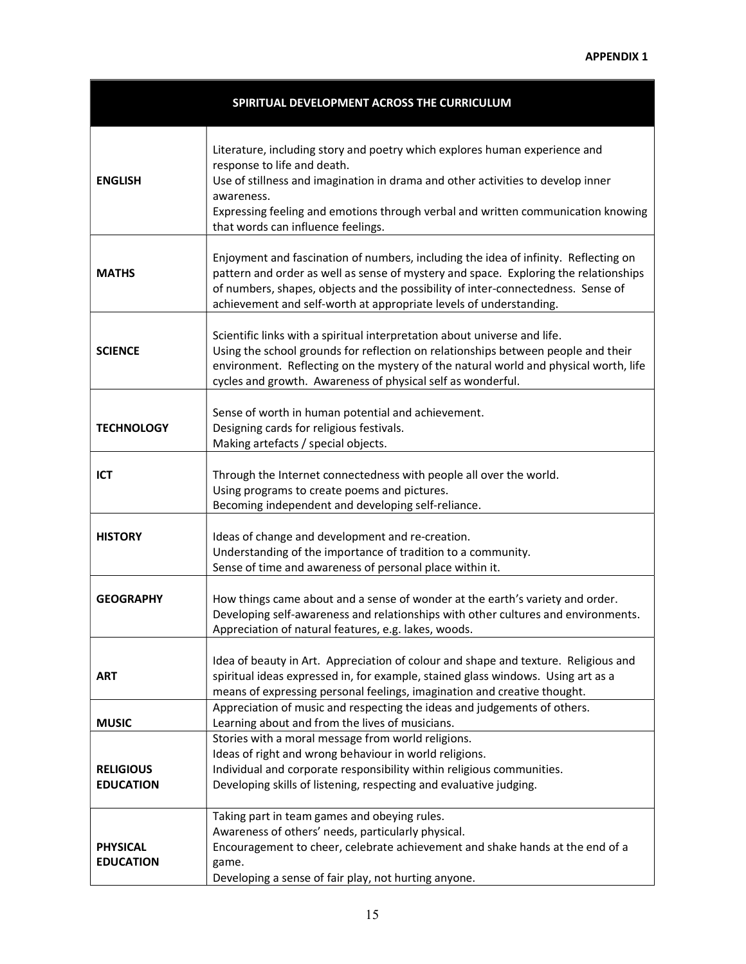### APPENDIX 1

|                                      | SPIRITUAL DEVELOPMENT ACROSS THE CURRICULUM                                                                                                                                                                                                                                                                                           |
|--------------------------------------|---------------------------------------------------------------------------------------------------------------------------------------------------------------------------------------------------------------------------------------------------------------------------------------------------------------------------------------|
| <b>ENGLISH</b>                       | Literature, including story and poetry which explores human experience and<br>response to life and death.<br>Use of stillness and imagination in drama and other activities to develop inner<br>awareness.<br>Expressing feeling and emotions through verbal and written communication knowing<br>that words can influence feelings.  |
| <b>MATHS</b>                         | Enjoyment and fascination of numbers, including the idea of infinity. Reflecting on<br>pattern and order as well as sense of mystery and space. Exploring the relationships<br>of numbers, shapes, objects and the possibility of inter-connectedness. Sense of<br>achievement and self-worth at appropriate levels of understanding. |
| <b>SCIENCE</b>                       | Scientific links with a spiritual interpretation about universe and life.<br>Using the school grounds for reflection on relationships between people and their<br>environment. Reflecting on the mystery of the natural world and physical worth, life<br>cycles and growth. Awareness of physical self as wonderful.                 |
| <b>TECHNOLOGY</b>                    | Sense of worth in human potential and achievement.<br>Designing cards for religious festivals.<br>Making artefacts / special objects.                                                                                                                                                                                                 |
| <b>ICT</b>                           | Through the Internet connectedness with people all over the world.<br>Using programs to create poems and pictures.<br>Becoming independent and developing self-reliance.                                                                                                                                                              |
| <b>HISTORY</b>                       | Ideas of change and development and re-creation.<br>Understanding of the importance of tradition to a community.<br>Sense of time and awareness of personal place within it.                                                                                                                                                          |
| <b>GEOGRAPHY</b>                     | How things came about and a sense of wonder at the earth's variety and order.<br>Developing self-awareness and relationships with other cultures and environments.<br>Appreciation of natural features, e.g. lakes, woods.                                                                                                            |
| <b>ART</b>                           | Idea of beauty in Art. Appreciation of colour and shape and texture. Religious and<br>spiritual ideas expressed in, for example, stained glass windows. Using art as a<br>means of expressing personal feelings, imagination and creative thought.                                                                                    |
| <b>MUSIC</b>                         | Appreciation of music and respecting the ideas and judgements of others.<br>Learning about and from the lives of musicians.                                                                                                                                                                                                           |
| <b>RELIGIOUS</b><br><b>EDUCATION</b> | Stories with a moral message from world religions.<br>Ideas of right and wrong behaviour in world religions.<br>Individual and corporate responsibility within religious communities.<br>Developing skills of listening, respecting and evaluative judging.                                                                           |
| <b>PHYSICAL</b><br><b>EDUCATION</b>  | Taking part in team games and obeying rules.<br>Awareness of others' needs, particularly physical.<br>Encouragement to cheer, celebrate achievement and shake hands at the end of a<br>game.<br>Developing a sense of fair play, not hurting anyone.                                                                                  |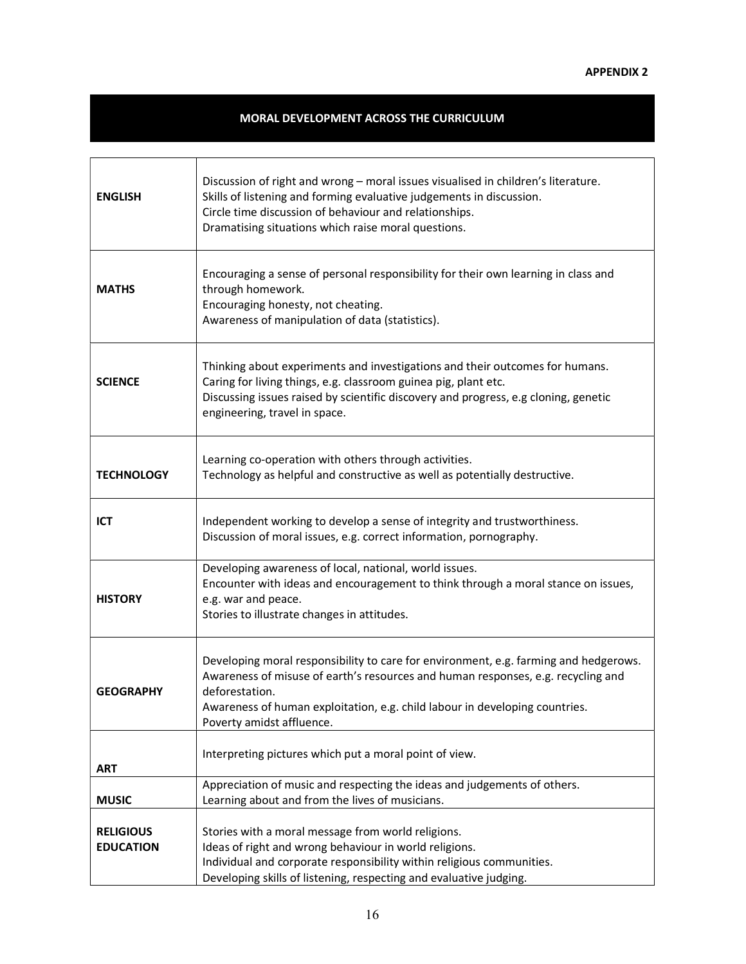# MORAL DEVELOPMENT ACROSS THE CURRICULUM

| <b>ENGLISH</b>                       | Discussion of right and wrong - moral issues visualised in children's literature.<br>Skills of listening and forming evaluative judgements in discussion.<br>Circle time discussion of behaviour and relationships.<br>Dramatising situations which raise moral questions.                             |
|--------------------------------------|--------------------------------------------------------------------------------------------------------------------------------------------------------------------------------------------------------------------------------------------------------------------------------------------------------|
| <b>MATHS</b>                         | Encouraging a sense of personal responsibility for their own learning in class and<br>through homework.<br>Encouraging honesty, not cheating.<br>Awareness of manipulation of data (statistics).                                                                                                       |
| <b>SCIENCE</b>                       | Thinking about experiments and investigations and their outcomes for humans.<br>Caring for living things, e.g. classroom guinea pig, plant etc.<br>Discussing issues raised by scientific discovery and progress, e.g cloning, genetic<br>engineering, travel in space.                                |
| <b>TECHNOLOGY</b>                    | Learning co-operation with others through activities.<br>Technology as helpful and constructive as well as potentially destructive.                                                                                                                                                                    |
| ICT                                  | Independent working to develop a sense of integrity and trustworthiness.<br>Discussion of moral issues, e.g. correct information, pornography.                                                                                                                                                         |
| <b>HISTORY</b>                       | Developing awareness of local, national, world issues.<br>Encounter with ideas and encouragement to think through a moral stance on issues,<br>e.g. war and peace.<br>Stories to illustrate changes in attitudes.                                                                                      |
| <b>GEOGRAPHY</b>                     | Developing moral responsibility to care for environment, e.g. farming and hedgerows.<br>Awareness of misuse of earth's resources and human responses, e.g. recycling and<br>deforestation.<br>Awareness of human exploitation, e.g. child labour in developing countries.<br>Poverty amidst affluence. |
| <b>ART</b><br><b>MUSIC</b>           | Interpreting pictures which put a moral point of view.<br>Appreciation of music and respecting the ideas and judgements of others.<br>Learning about and from the lives of musicians.                                                                                                                  |
| <b>RELIGIOUS</b><br><b>EDUCATION</b> | Stories with a moral message from world religions.<br>Ideas of right and wrong behaviour in world religions.<br>Individual and corporate responsibility within religious communities.<br>Developing skills of listening, respecting and evaluative judging.                                            |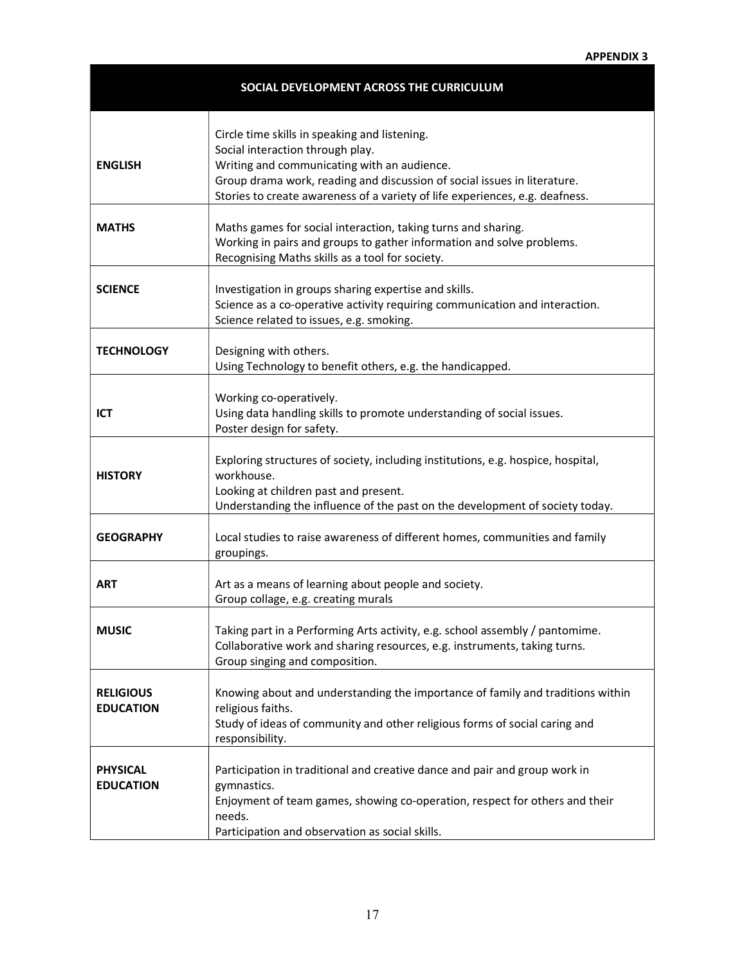### APPENDIX 3

|                                      | SOCIAL DEVELOPMENT ACROSS THE CURRICULUM                                                                                                                                                                                                                                                     |
|--------------------------------------|----------------------------------------------------------------------------------------------------------------------------------------------------------------------------------------------------------------------------------------------------------------------------------------------|
| <b>ENGLISH</b>                       | Circle time skills in speaking and listening.<br>Social interaction through play.<br>Writing and communicating with an audience.<br>Group drama work, reading and discussion of social issues in literature.<br>Stories to create awareness of a variety of life experiences, e.g. deafness. |
| <b>MATHS</b>                         | Maths games for social interaction, taking turns and sharing.<br>Working in pairs and groups to gather information and solve problems.<br>Recognising Maths skills as a tool for society.                                                                                                    |
| <b>SCIENCE</b>                       | Investigation in groups sharing expertise and skills.<br>Science as a co-operative activity requiring communication and interaction.<br>Science related to issues, e.g. smoking.                                                                                                             |
| <b>TECHNOLOGY</b>                    | Designing with others.<br>Using Technology to benefit others, e.g. the handicapped.                                                                                                                                                                                                          |
| <b>ICT</b>                           | Working co-operatively.<br>Using data handling skills to promote understanding of social issues.<br>Poster design for safety.                                                                                                                                                                |
| <b>HISTORY</b>                       | Exploring structures of society, including institutions, e.g. hospice, hospital,<br>workhouse.<br>Looking at children past and present.<br>Understanding the influence of the past on the development of society today.                                                                      |
| <b>GEOGRAPHY</b>                     | Local studies to raise awareness of different homes, communities and family<br>groupings.                                                                                                                                                                                                    |
| <b>ART</b>                           | Art as a means of learning about people and society.<br>Group collage, e.g. creating murals                                                                                                                                                                                                  |
| <b>MUSIC</b>                         | Taking part in a Performing Arts activity, e.g. school assembly / pantomime.<br>Collaborative work and sharing resources, e.g. instruments, taking turns.<br>Group singing and composition.                                                                                                  |
| <b>RELIGIOUS</b><br><b>EDUCATION</b> | Knowing about and understanding the importance of family and traditions within<br>religious faiths.<br>Study of ideas of community and other religious forms of social caring and<br>responsibility.                                                                                         |
| <b>PHYSICAL</b><br><b>EDUCATION</b>  | Participation in traditional and creative dance and pair and group work in<br>gymnastics.<br>Enjoyment of team games, showing co-operation, respect for others and their<br>needs.<br>Participation and observation as social skills.                                                        |